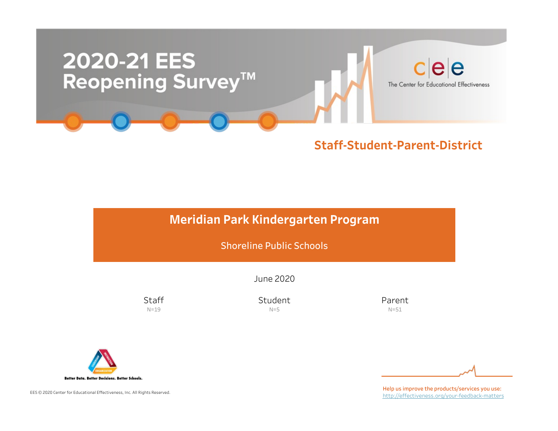

## Meridian Park Kindergarten Program

Shoreline Public Schools

June2020

**Staff** N=19

Student  $N=5$ 

Parent N=51



EES © 2020 Center for Educational Effectiveness, Inc. All Rights Reserved.

Help us improve the products/services you use: http://effectiveness.org/your-feedback-matters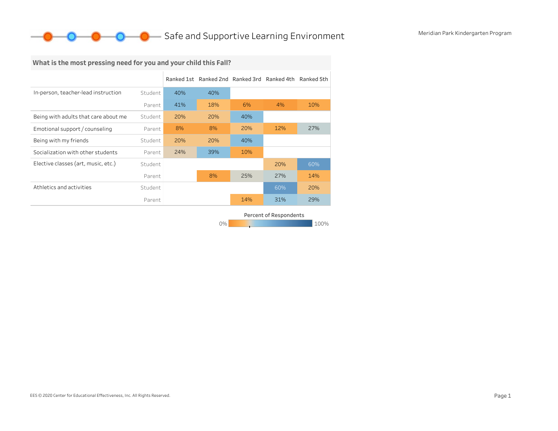## **O** Safe and Supportive Learning Environment Meridian Park Kindergarten Program

## What is the most pressing need for you and your child this Fall?

|                                      |         |     | Ranked 1st Ranked 2nd Ranked 3rd Ranked 4th Ranked 5th |     |     |     |
|--------------------------------------|---------|-----|--------------------------------------------------------|-----|-----|-----|
| In-person, teacher-lead instruction  | Student | 40% | 40%                                                    |     |     |     |
|                                      | Parent  | 41% | 18%                                                    | 6%  | 4%  | 10% |
| Being with adults that care about me | Student | 20% | 20%                                                    | 40% |     |     |
| Emotional support / counseling       | Parent  | 8%  | 8%                                                     | 20% | 12% | 27% |
| Being with my friends                | Student | 20% | 20%                                                    | 40% |     |     |
| Socialization with other students    | Parent  | 24% | 39%                                                    | 10% |     |     |
| Elective classes (art, music, etc.)  | Student |     |                                                        |     | 20% | 60% |
|                                      | Parent  |     | 8%                                                     | 25% | 27% | 14% |
| Athletics and activities             | Student |     |                                                        |     | 60% | 20% |
|                                      | Parent  |     |                                                        | 14% | 31% | 29% |

0% 100% 100% 100% 100% Percent of Respondents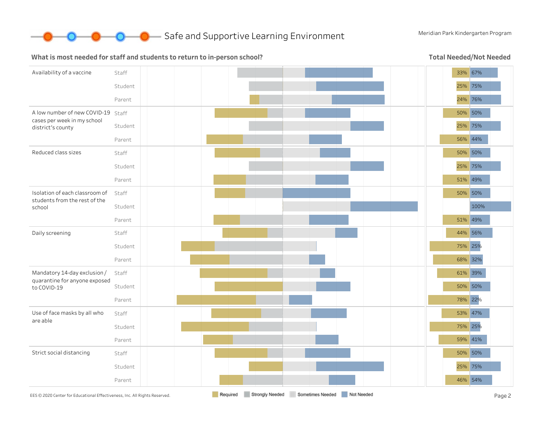

**O** Safe and Supportive Learning Environment Meridian Park Kindergarten Program

#### What is most needed for staff and students to return to in-person school?

Total Needed/Not Needed

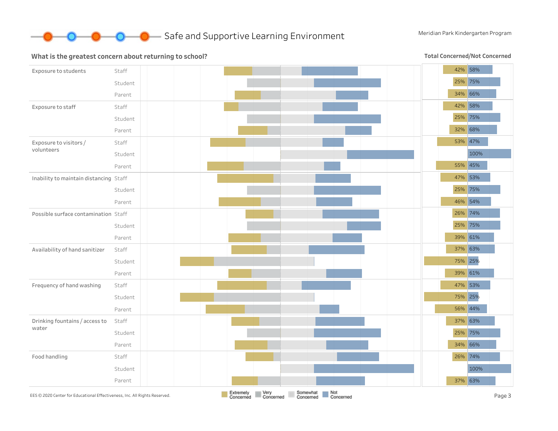

#### What is the greatest concern about returning to school?

**Total Concerned/Not Concerned** 

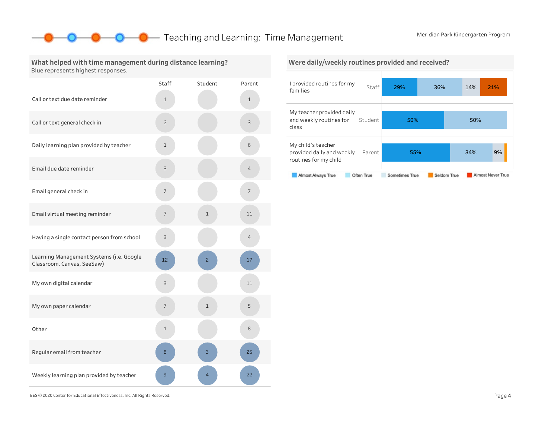### **O** Teaching and Learning: Time Management Meridian Park Kindergarten Program

What helped with time management during distance learning? Blue represents highest responses.

|                                                                        | <b>Staff</b>   | Student        | Parent         |
|------------------------------------------------------------------------|----------------|----------------|----------------|
| Call or text due date reminder                                         | 1              |                | $\mathbf 1$    |
| Call or text general check in                                          | $\overline{c}$ |                | 3              |
| Daily learning plan provided by teacher                                | $\mathbf 1$    |                | 6              |
| Email due date reminder                                                | 3              |                | $\overline{4}$ |
| Email general check in                                                 | 7              |                | 7              |
| Email virtual meeting reminder                                         | 7              | $\mathbf 1$    | 11             |
| Having a single contact person from school                             | 3              |                | 4              |
| Learning Management Systems (i.e. Google<br>Classroom, Canvas, SeeSaw) | 12             | $\overline{c}$ | 17             |
| My own digital calendar                                                | 3              |                | 11             |
| My own paper calendar                                                  | 7              | $\mathbf 1$    | 5              |
| Other                                                                  | $\mathbf{1}$   |                | 8              |
| Regular email from teacher                                             | 8              | 3              | 25             |
| Weekly learning plan provided by teacher                               | 9              | $\overline{4}$ | 22             |



EES©2020CenterforEducationalEffectiveness,Inc.AllRightsReserved. Page4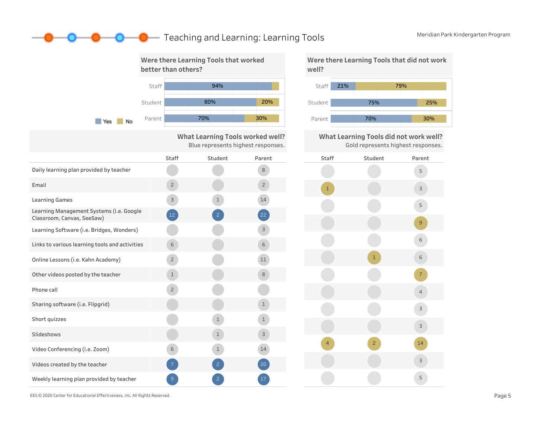### **O** Reaching and Learning: Learning Tools Meridian Park Kindergarten Program





What Learning Tools did not work well? Gold represents highest responses.



EES © 2020 Center for Educational Effectiveness, Inc. All Rights Reserved. **Page 5** Page 5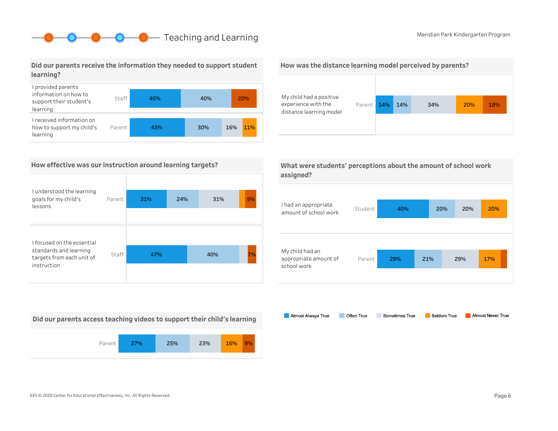## **O** Reaching and Learning Meridian Park Kindergarten Program

### Did our parents receive the information they needed to support student learning?



### How effective was our instruction around learning targets?

| I understood the learning<br>goals for my child's<br>lessons       | Parent | 31% | 24% | 31% | 9% |
|--------------------------------------------------------------------|--------|-----|-----|-----|----|
| I focused on the essential                                         |        |     |     |     |    |
| standards and learning<br>targets from each unit of<br>instruction | Staff  | 47% |     | 40% | 7% |
|                                                                    |        |     |     |     |    |

Did our parents access teaching videos to support their child's learning



#### How was the distance learning model perceived by parents?



| What were students' perceptions about the amount of school work |  |
|-----------------------------------------------------------------|--|
| assigned?                                                       |  |

| I had an appropriate<br>amount of school work           | Student | 40% |     | 20% | 20%<br>20% |  |
|---------------------------------------------------------|---------|-----|-----|-----|------------|--|
|                                                         |         |     |     |     |            |  |
|                                                         |         |     |     |     |            |  |
| My child had an<br>appropriate amount of<br>school work | Parent  | 29% | 21% | 29% | 17%        |  |
|                                                         |         |     |     |     |            |  |

Almost Always True Sometimes True Almost Never True Often True Seldom True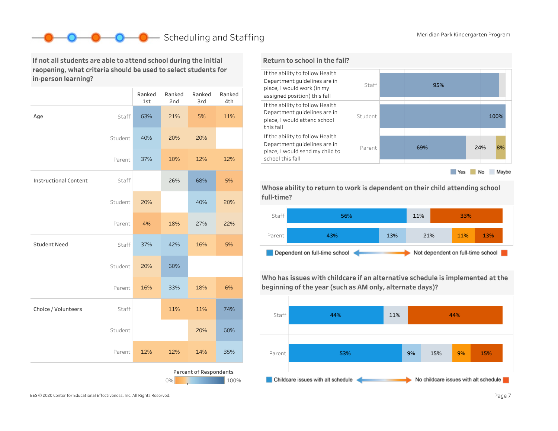## ■ Scheduling and Staffing Meridian Park Kindergarten Program

If not all students are able to attend school during the initial reopening, what criteria should be used to select students for in-person learning?

|                              |         | Ranked<br>1st | Ranked<br>2nd | Ranked<br>3rd          | Ranked<br>4th |
|------------------------------|---------|---------------|---------------|------------------------|---------------|
| Age                          | Staff   | 63%           | 21%           | 5%                     | 11%           |
|                              | Student | 40%           | 20%           | 20%                    |               |
|                              | Parent  | 37%           | 10%           | 12%                    | 12%           |
| <b>Instructional Content</b> | Staff   |               | 26%           | 68%                    | 5%            |
|                              | Student | 20%           |               | 40%                    | 20%           |
|                              | Parent  | 4%            | 18%           | 27%                    | 22%           |
| <b>Student Need</b>          | Staff   | 37%           | 42%           | 16%                    | 5%            |
|                              | Student | 20%           | 60%           |                        |               |
|                              | Parent  | 16%           | 33%           | 18%                    | 6%            |
| Choice / Volunteers          | Staff   |               | 11%           | 11%                    | 74%           |
|                              | Student |               |               | 20%                    | 60%           |
|                              | Parent  | 12%           | 12%           | 14%                    | 35%           |
|                              |         |               | 0%            | Percent of Respondents | 100%          |



Whose ability to return to work is dependent on their child attending school full-time?



Who has issues with childcare if an alternative schedule is implemented at the beginning of the year (such as AM only, alternate days)?



EES © 2020 Center for Educational Effectiveness, Inc. All Rights Reserved. **Page 7** Page 7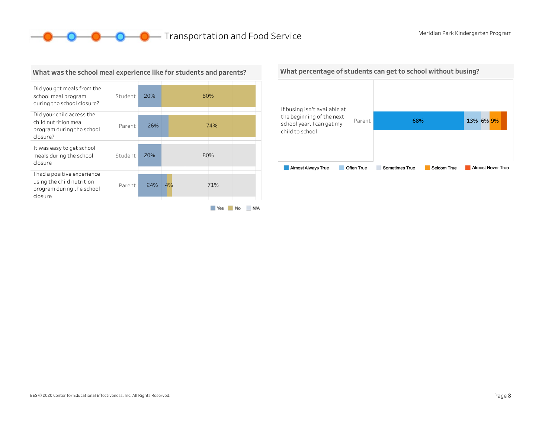### **O O** Transportation and Food Service Meridian Park Kindergarten Program



What was the school meal experience like for students and parents?

#### Yes No N/A

#### What percentage of students can get to school without busing?

| If busing isn't available at                           |            |                               |                          |
|--------------------------------------------------------|------------|-------------------------------|--------------------------|
| the beginning of the next<br>school year, I can get my | Parent     | 68%                           | 13% 6% 9%                |
| child to school                                        |            |                               |                          |
|                                                        |            |                               |                          |
| <b>Almost Always True</b>                              | Often True | Sometimes True<br>Seldom True | <b>Almost Never True</b> |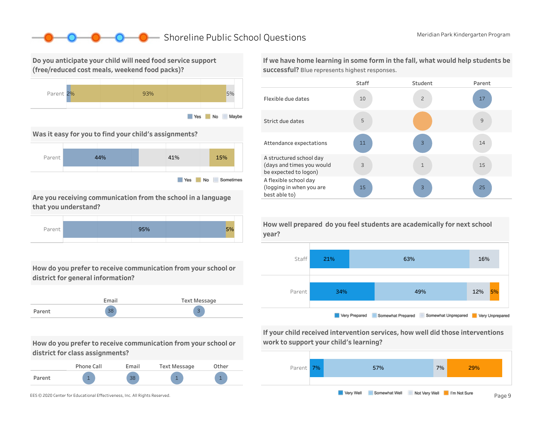### ■ Shoreline Public School Questions Meridian Park Kindergarten Program

Do you anticipate your child will need food service support (free/reduced cost meals, weekend food packs)?



Was it easy for you to find your child's assignments?



Are you receiving communication from the school in a language that you understand?



How do you prefer to receive communication from your school or district for general information?



How do you prefer to receive communication from your school or district for class assignments?

|        | Phone Call | Email | <b>Text Message</b> | Other |
|--------|------------|-------|---------------------|-------|
| Parent | л.         | 38    |                     |       |

If we have home learning in some form in the fall, what would help students be successful? Blue represents highest responses.



How well prepared do you feel students are academically for next school year?



If your child received intervention services, how well did those interventions work to support your child's learning?

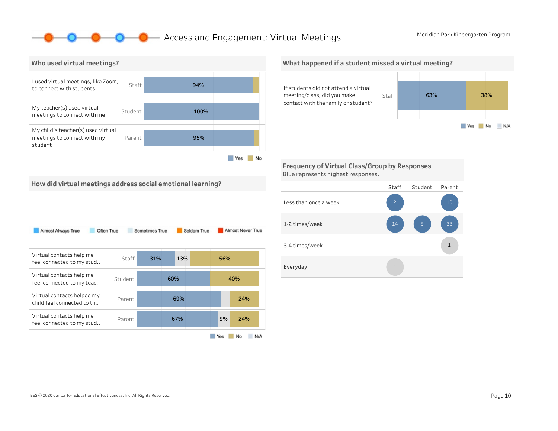### **O** Access and Engagement: Virtual Meetings Meridian Park Kindergarten Program



What happened if a student missed a virtual meeting?



Frequency of Virtual Class/Group by Responses Blue represents highest responses.

How did virtual meetings address social emotional learning?

| Almost Always True<br>Often True                         |         | Sometimes True |     | Seldom True |     | Almost Never True |
|----------------------------------------------------------|---------|----------------|-----|-------------|-----|-------------------|
| Virtual contacts help me<br>feel connected to my stud    | Staff   | 31%            | 13% |             | 56% |                   |
| Virtual contacts help me<br>feel connected to my teac    | Student |                | 60% |             | 40% |                   |
| Virtual contacts helped my<br>child feel connected to th | Parent  |                | 69% |             |     | 24%               |
| Virtual contacts help me<br>feel connected to my stud    | Parent  |                | 67% |             | 9%  | 24%               |
|                                                          |         |                |     |             | Yes | N/A<br>No         |

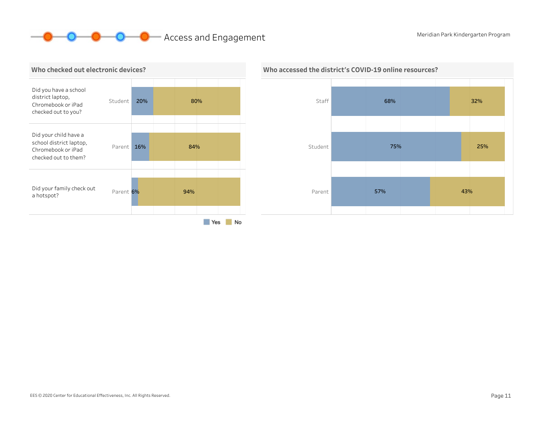# **OCOO** Access and Engagement Meridian Park Kindergarten Program





## Who accessed the district's COVID-19 online resources?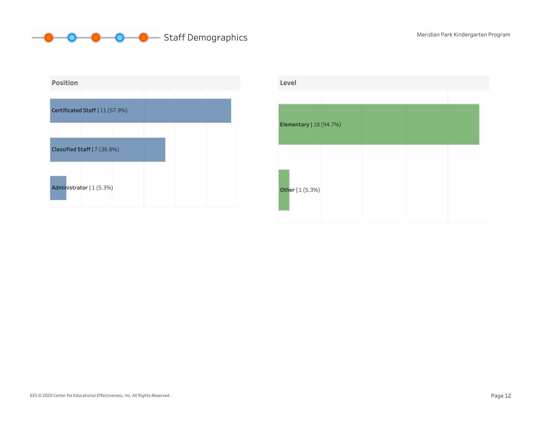



| Level                   |  |  |
|-------------------------|--|--|
|                         |  |  |
| Elementary   18 (94.7%) |  |  |
| Other   1 (5.3%)        |  |  |

#### EES © 2020 Center for Educational Effectiveness, Inc. All Rights Reserved. Page 12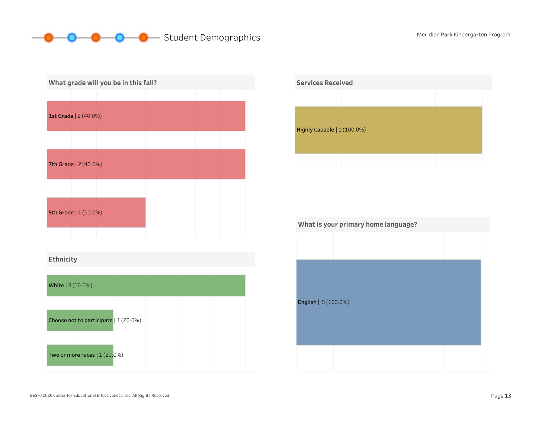#### **O** O Student Demographics Meridian Park Kindergarten Program  $\mathbf{p}$ -0-



| Ethnicity         |                                       |  |  |
|-------------------|---------------------------------------|--|--|
|                   |                                       |  |  |
| White   3 (60.0%) |                                       |  |  |
|                   |                                       |  |  |
|                   | Choose not to participate   1 (20.0%) |  |  |
|                   |                                       |  |  |
|                   | Two or more races $(1(20.0\%)$        |  |  |
|                   |                                       |  |  |



| What is your primary home language? |  |  |  |  |  |  |
|-------------------------------------|--|--|--|--|--|--|
|                                     |  |  |  |  |  |  |
|                                     |  |  |  |  |  |  |
|                                     |  |  |  |  |  |  |
|                                     |  |  |  |  |  |  |
| English   5 (100.0%)                |  |  |  |  |  |  |
|                                     |  |  |  |  |  |  |
|                                     |  |  |  |  |  |  |
|                                     |  |  |  |  |  |  |